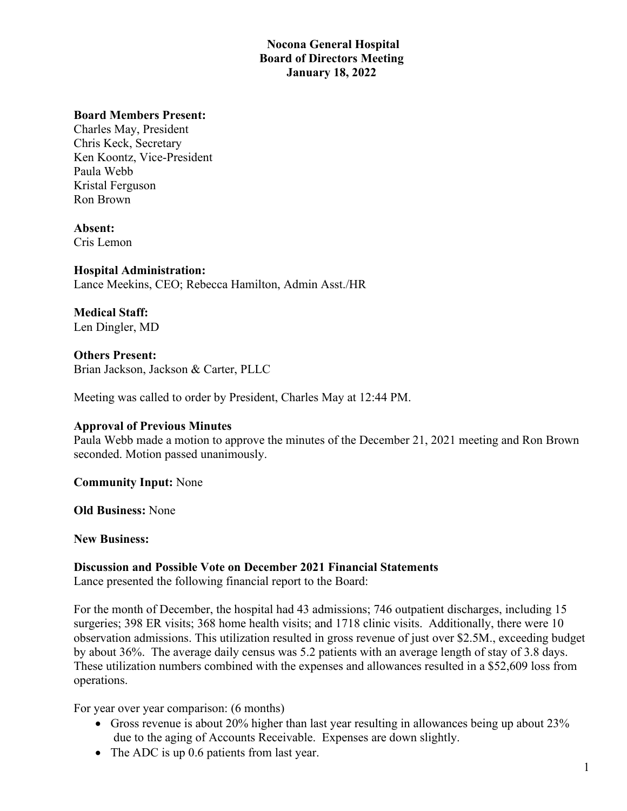# **Nocona General Hospital Board of Directors Meeting January 18, 2022**

#### **Board Members Present:**

Charles May, President Chris Keck, Secretary Ken Koontz, Vice-President Paula Webb Kristal Ferguson Ron Brown

**Absent:** Cris Lemon

**Hospital Administration:** Lance Meekins, CEO; Rebecca Hamilton, Admin Asst./HR

**Medical Staff:** Len Dingler, MD

**Others Present:** Brian Jackson, Jackson & Carter, PLLC

Meeting was called to order by President, Charles May at 12:44 PM.

#### **Approval of Previous Minutes**

Paula Webb made a motion to approve the minutes of the December 21, 2021 meeting and Ron Brown seconded. Motion passed unanimously.

**Community Input:** None

**Old Business:** None

**New Business:**

#### **Discussion and Possible Vote on December 2021 Financial Statements**

Lance presented the following financial report to the Board:

For the month of December, the hospital had 43 admissions; 746 outpatient discharges, including 15 surgeries; 398 ER visits; 368 home health visits; and 1718 clinic visits. Additionally, there were 10 observation admissions. This utilization resulted in gross revenue of just over \$2.5M., exceeding budget by about 36%. The average daily census was 5.2 patients with an average length of stay of 3.8 days. These utilization numbers combined with the expenses and allowances resulted in a \$52,609 loss from operations.

For year over year comparison: (6 months)

- Gross revenue is about 20% higher than last year resulting in allowances being up about 23% due to the aging of Accounts Receivable. Expenses are down slightly.
- The ADC is up 0.6 patients from last year.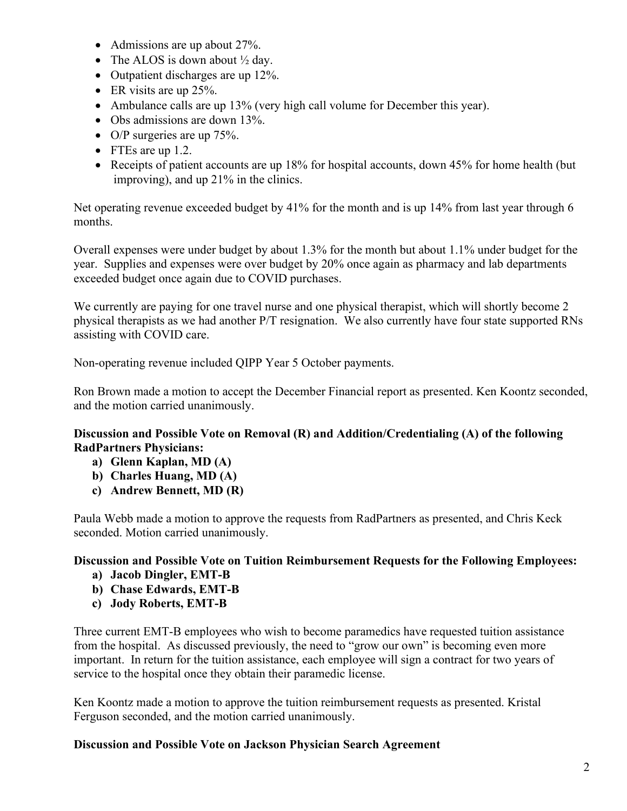- Admissions are up about 27%.
- The ALOS is down about  $\frac{1}{2}$  day.
- Outpatient discharges are up 12%.
- ER visits are up 25%.
- Ambulance calls are up 13% (very high call volume for December this year).
- Obs admissions are down 13%.
- O/P surgeries are up 75%.
- FTEs are up 1.2.
- Receipts of patient accounts are up 18% for hospital accounts, down 45% for home health (but improving), and up 21% in the clinics.

Net operating revenue exceeded budget by 41% for the month and is up 14% from last year through 6 months.

Overall expenses were under budget by about 1.3% for the month but about 1.1% under budget for the year. Supplies and expenses were over budget by 20% once again as pharmacy and lab departments exceeded budget once again due to COVID purchases.

We currently are paying for one travel nurse and one physical therapist, which will shortly become 2 physical therapists as we had another P/T resignation. We also currently have four state supported RNs assisting with COVID care.

Non-operating revenue included QIPP Year 5 October payments.

Ron Brown made a motion to accept the December Financial report as presented. Ken Koontz seconded, and the motion carried unanimously.

# **Discussion and Possible Vote on Removal (R) and Addition/Credentialing (A) of the following RadPartners Physicians:**

- **a) Glenn Kaplan, MD (A)**
- **b) Charles Huang, MD (A)**
- **c) Andrew Bennett, MD (R)**

Paula Webb made a motion to approve the requests from RadPartners as presented, and Chris Keck seconded. Motion carried unanimously.

# **Discussion and Possible Vote on Tuition Reimbursement Requests for the Following Employees:**

- **a) Jacob Dingler, EMT-B**
- **b) Chase Edwards, EMT-B**
- **c) Jody Roberts, EMT-B**

Three current EMT-B employees who wish to become paramedics have requested tuition assistance from the hospital. As discussed previously, the need to "grow our own" is becoming even more important. In return for the tuition assistance, each employee will sign a contract for two years of service to the hospital once they obtain their paramedic license.

Ken Koontz made a motion to approve the tuition reimbursement requests as presented. Kristal Ferguson seconded, and the motion carried unanimously.

# **Discussion and Possible Vote on Jackson Physician Search Agreement**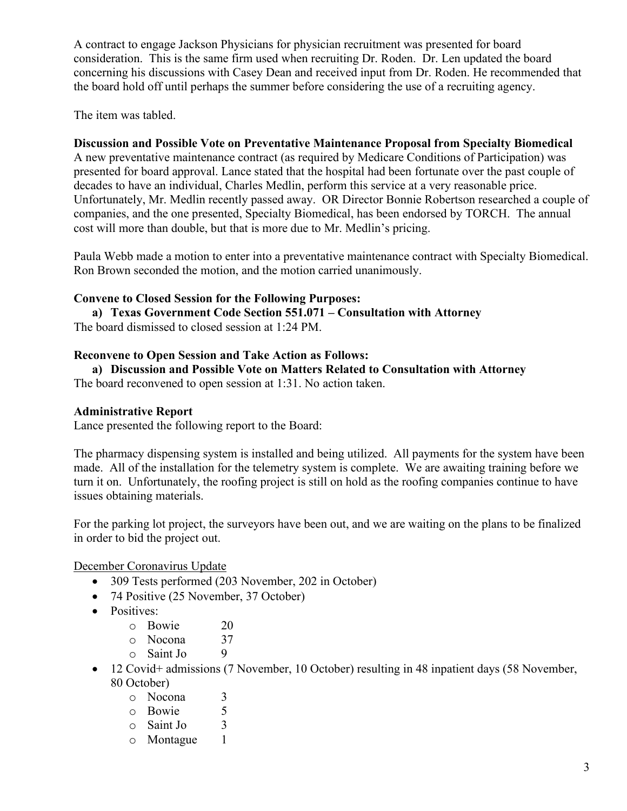A contract to engage Jackson Physicians for physician recruitment was presented for board consideration. This is the same firm used when recruiting Dr. Roden. Dr. Len updated the board concerning his discussions with Casey Dean and received input from Dr. Roden. He recommended that the board hold off until perhaps the summer before considering the use of a recruiting agency.

The item was tabled.

# **Discussion and Possible Vote on Preventative Maintenance Proposal from Specialty Biomedical**

A new preventative maintenance contract (as required by Medicare Conditions of Participation) was presented for board approval. Lance stated that the hospital had been fortunate over the past couple of decades to have an individual, Charles Medlin, perform this service at a very reasonable price. Unfortunately, Mr. Medlin recently passed away. OR Director Bonnie Robertson researched a couple of companies, and the one presented, Specialty Biomedical, has been endorsed by TORCH. The annual cost will more than double, but that is more due to Mr. Medlin's pricing.

Paula Webb made a motion to enter into a preventative maintenance contract with Specialty Biomedical. Ron Brown seconded the motion, and the motion carried unanimously.

# **Convene to Closed Session for the Following Purposes:**

**a) Texas Government Code Section 551.071 – Consultation with Attorney** The board dismissed to closed session at 1:24 PM.

#### **Reconvene to Open Session and Take Action as Follows:**

**a) Discussion and Possible Vote on Matters Related to Consultation with Attorney**

The board reconvened to open session at 1:31. No action taken.

#### **Administrative Report**

Lance presented the following report to the Board:

The pharmacy dispensing system is installed and being utilized. All payments for the system have been made. All of the installation for the telemetry system is complete. We are awaiting training before we turn it on. Unfortunately, the roofing project is still on hold as the roofing companies continue to have issues obtaining materials.

For the parking lot project, the surveyors have been out, and we are waiting on the plans to be finalized in order to bid the project out.

December Coronavirus Update

- 309 Tests performed (203 November, 202 in October)
- 74 Positive (25 November, 37 October)
- Positives:
	- o Bowie 20
	- $\circ$  Nocona 37
	- o Saint Jo 9
- 12 Covid+ admissions (7 November, 10 October) resulting in 48 inpatient days (58 November, 80 October)
	- o Nocona 3
	- o Bowie 5<br>
	o Saint Jo 3
	- $\circ$  Saint Jo 3<br> $\circ$  Montague 1
	- o Montague 1